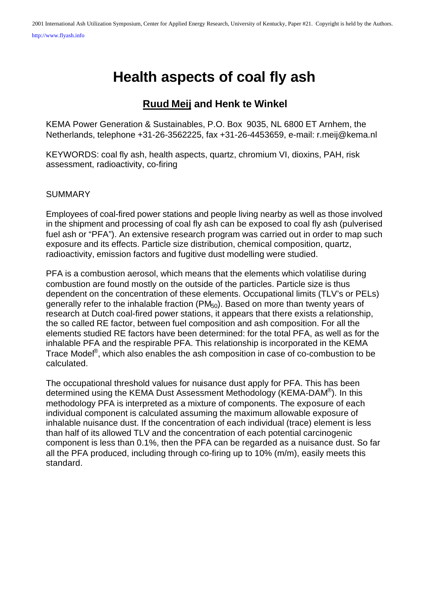# **Health aspects of coal fly ash**

# **Ruud Meij and Henk te Winkel**

KEMA Power Generation & Sustainables, P.O. Box 9035, NL 6800 ET Arnhem, the Netherlands, telephone +31-26-3562225, fax +31-26-4453659, e-mail: r.meij@kema.nl

KEYWORDS: coal fly ash, health aspects, quartz, chromium VI, dioxins, PAH, risk assessment, radioactivity, co-firing

#### **SUMMARY**

Employees of coal-fired power stations and people living nearby as well as those involved in the shipment and processing of coal fly ash can be exposed to coal fly ash (pulverised fuel ash or "PFA"). An extensive research program was carried out in order to map such exposure and its effects. Particle size distribution, chemical composition, quartz, radioactivity, emission factors and fugitive dust modelling were studied.

PFA is a combustion aerosol, which means that the elements which volatilise during combustion are found mostly on the outside of the particles. Particle size is thus dependent on the concentration of these elements. Occupational limits (TLV's or PELs) generally refer to the inhalable fraction (PM<sub>50</sub>). Based on more than twenty years of research at Dutch coal-fired power stations, it appears that there exists a relationship, the so called RE factor, between fuel composition and ash composition. For all the elements studied RE factors have been determined: for the total PFA, as well as for the inhalable PFA and the respirable PFA. This relationship is incorporated in the KEMA Trace Model<sup>®</sup>, which also enables the ash composition in case of co-combustion to be calculated.

The occupational threshold values for nuisance dust apply for PFA. This has been determined using the KEMA Dust Assessment Methodology (KEMA-DAM®). In this methodology PFA is interpreted as a mixture of components. The exposure of each individual component is calculated assuming the maximum allowable exposure of inhalable nuisance dust. If the concentration of each individual (trace) element is less than half of its allowed TLV and the concentration of each potential carcinogenic component is less than 0.1%, then the PFA can be regarded as a nuisance dust. So far all the PFA produced, including through co-firing up to 10% (m/m), easily meets this standard.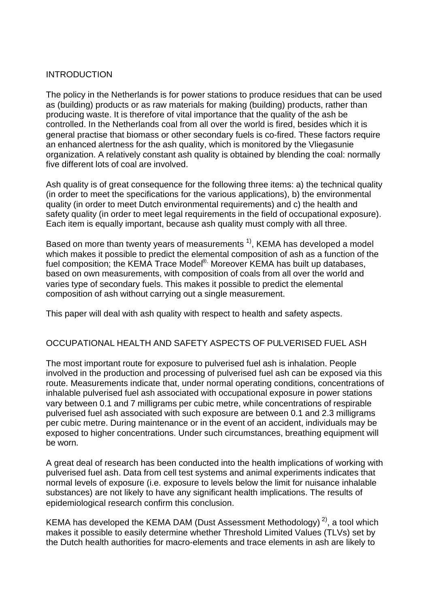#### INTRODUCTION

The policy in the Netherlands is for power stations to produce residues that can be used as (building) products or as raw materials for making (building) products, rather than producing waste. It is therefore of vital importance that the quality of the ash be controlled. In the Netherlands coal from all over the world is fired, besides which it is general practise that biomass or other secondary fuels is co-fired. These factors require an enhanced alertness for the ash quality, which is monitored by the Vliegasunie organization. A relatively constant ash quality is obtained by blending the coal: normally five different lots of coal are involved.

Ash quality is of great consequence for the following three items: a) the technical quality (in order to meet the specifications for the various applications), b) the environmental quality (in order to meet Dutch environmental requirements) and c) the health and safety quality (in order to meet legal requirements in the field of occupational exposure). Each item is equally important, because ash quality must comply with all three.

Based on more than twenty years of measurements  $<sup>1</sup>$ , KEMA has developed a model</sup> which makes it possible to predict the elemental composition of ash as a function of the fuel composition; the KEMA Trace Model<sup>®.</sup> Moreover KEMA has built up databases, based on own measurements, with composition of coals from all over the world and varies type of secondary fuels. This makes it possible to predict the elemental composition of ash without carrying out a single measurement.

This paper will deal with ash quality with respect to health and safety aspects.

#### OCCUPATIONAL HEALTH AND SAFETY ASPECTS OF PULVERISED FUEL ASH

The most important route for exposure to pulverised fuel ash is inhalation. People involved in the production and processing of pulverised fuel ash can be exposed via this route. Measurements indicate that, under normal operating conditions, concentrations of inhalable pulverised fuel ash associated with occupational exposure in power stations vary between 0.1 and 7 milligrams per cubic metre, while concentrations of respirable pulverised fuel ash associated with such exposure are between 0.1 and 2.3 milligrams per cubic metre. During maintenance or in the event of an accident, individuals may be exposed to higher concentrations. Under such circumstances, breathing equipment will be worn.

A great deal of research has been conducted into the health implications of working with pulverised fuel ash. Data from cell test systems and animal experiments indicates that normal levels of exposure (i.e. exposure to levels below the limit for nuisance inhalable substances) are not likely to have any significant health implications. The results of epidemiological research confirm this conclusion.

KEMA has developed the KEMA DAM (Dust Assessment Methodology)<sup>2)</sup>, a tool which makes it possible to easily determine whether Threshold Limited Values (TLVs) set by the Dutch health authorities for macro-elements and trace elements in ash are likely to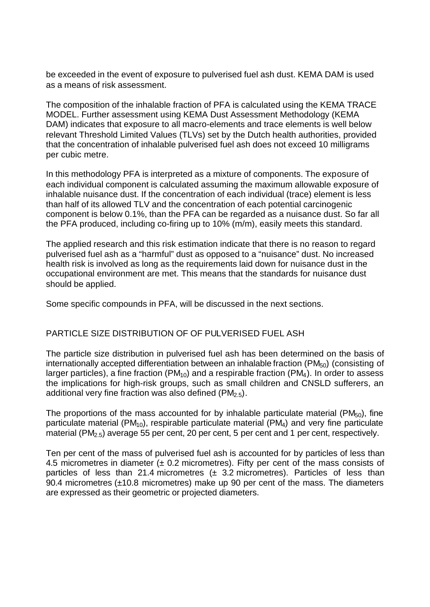be exceeded in the event of exposure to pulverised fuel ash dust. KEMA DAM is used as a means of risk assessment.

The composition of the inhalable fraction of PFA is calculated using the KEMA TRACE MODEL. Further assessment using KEMA Dust Assessment Methodology (KEMA DAM) indicates that exposure to all macro-elements and trace elements is well below relevant Threshold Limited Values (TLVs) set by the Dutch health authorities, provided that the concentration of inhalable pulverised fuel ash does not exceed 10 milligrams per cubic metre.

In this methodology PFA is interpreted as a mixture of components. The exposure of each individual component is calculated assuming the maximum allowable exposure of inhalable nuisance dust. If the concentration of each individual (trace) element is less than half of its allowed TLV and the concentration of each potential carcinogenic component is below 0.1%, than the PFA can be regarded as a nuisance dust. So far all the PFA produced, including co-firing up to 10% (m/m), easily meets this standard.

The applied research and this risk estimation indicate that there is no reason to regard pulverised fuel ash as a "harmful" dust as opposed to a "nuisance" dust. No increased health risk is involved as long as the requirements laid down for nuisance dust in the occupational environment are met. This means that the standards for nuisance dust should be applied.

Some specific compounds in PFA, will be discussed in the next sections.

#### PARTICLE SIZE DISTRIBUTION OF OF PULVERISED FUEL ASH

The particle size distribution in pulverised fuel ash has been determined on the basis of internationally accepted differentiation between an inhalable fraction ( $PM_{50}$ ) (consisting of larger particles), a fine fraction ( $PM_{10}$ ) and a respirable fraction ( $PM_4$ ). In order to assess the implications for high-risk groups, such as small children and CNSLD sufferers, an additional very fine fraction was also defined ( $PM<sub>2.5</sub>$ ).

The proportions of the mass accounted for by inhalable particulate material ( $PM_{50}$ ), fine particulate material ( $PM_{10}$ ), respirable particulate material ( $PM_4$ ) and very fine particulate material (PM<sub>2.5</sub>) average 55 per cent, 20 per cent, 5 per cent and 1 per cent, respectively.

Ten per cent of the mass of pulverised fuel ash is accounted for by particles of less than 4.5 micrometres in diameter  $(± 0.2$  micrometres). Fifty per cent of the mass consists of particles of less than 21.4 micrometres  $(± 3.2$  micrometres). Particles of less than 90.4 micrometres (±10.8 micrometres) make up 90 per cent of the mass. The diameters are expressed as their geometric or projected diameters.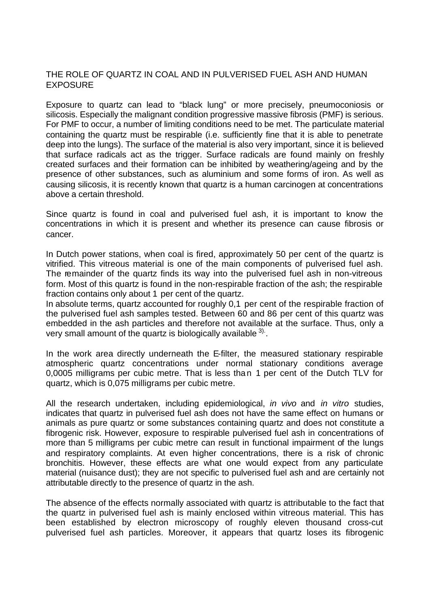#### THE ROLE OF QUARTZ IN COAL AND IN PULVERISED FUEL ASH AND HUMAN **EXPOSURE**

Exposure to quartz can lead to "black lung" or more precisely, pneumoconiosis or silicosis. Especially the malignant condition progressive massive fibrosis (PMF) is serious. For PMF to occur, a number of limiting conditions need to be met. The particulate material containing the quartz must be respirable (i.e. sufficiently fine that it is able to penetrate deep into the lungs). The surface of the material is also very important, since it is believed that surface radicals act as the trigger. Surface radicals are found mainly on freshly created surfaces and their formation can be inhibited by weathering/ageing and by the presence of other substances, such as aluminium and some forms of iron. As well as causing silicosis, it is recently known that quartz is a human carcinogen at concentrations above a certain threshold.

Since quartz is found in coal and pulverised fuel ash, it is important to know the concentrations in which it is present and whether its presence can cause fibrosis or cancer.

In Dutch power stations, when coal is fired, approximately 50 per cent of the quartz is vitrified. This vitreous material is one of the main components of pulverised fuel ash. The remainder of the quartz finds its way into the pulverised fuel ash in non-vitreous form. Most of this quartz is found in the non-respirable fraction of the ash; the respirable fraction contains only about 1 per cent of the quartz.

In absolute terms, quartz accounted for roughly 0,1 per cent of the respirable fraction of the pulverised fuel ash samples tested. Between 60 and 86 per cent of this quartz was embedded in the ash particles and therefore not available at the surface. Thus, only a very small amount of the quartz is biologically available  $3$ .

In the work area directly underneath the E-filter, the measured stationary respirable atmospheric quartz concentrations under normal stationary conditions average 0,0005 milligrams per cubic metre. That is less than 1 per cent of the Dutch TLV for quartz, which is 0,075 milligrams per cubic metre.

All the research undertaken, including epidemiological, *in vivo* and *in vitro* studies, indicates that quartz in pulverised fuel ash does not have the same effect on humans or animals as pure quartz or some substances containing quartz and does not constitute a fibrogenic risk. However, exposure to respirable pulverised fuel ash in concentrations of more than 5 milligrams per cubic metre can result in functional impairment of the lungs and respiratory complaints. At even higher concentrations, there is a risk of chronic bronchitis. However, these effects are what one would expect from any particulate material (nuisance dust); they are not specific to pulverised fuel ash and are certainly not attributable directly to the presence of quartz in the ash.

The absence of the effects normally associated with quartz is attributable to the fact that the quartz in pulverised fuel ash is mainly enclosed within vitreous material. This has been established by electron microscopy of roughly eleven thousand cross-cut pulverised fuel ash particles. Moreover, it appears that quartz loses its fibrogenic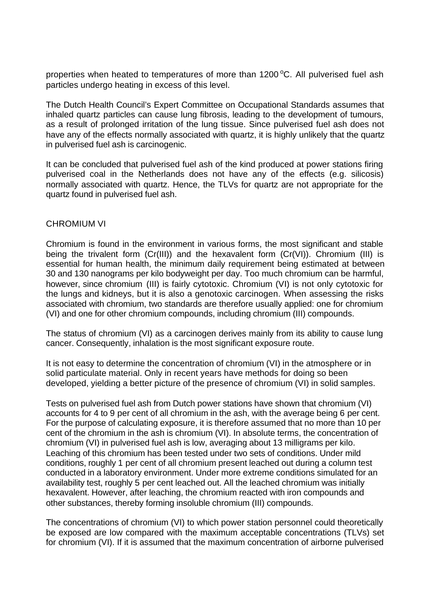properties when heated to temperatures of more than  $1200\,^{\circ}$ C. All pulverised fuel ash particles undergo heating in excess of this level.

The Dutch Health Council's Expert Committee on Occupational Standards assumes that inhaled quartz particles can cause lung fibrosis, leading to the development of tumours, as a result of prolonged irritation of the lung tissue. Since pulverised fuel ash does not have any of the effects normally associated with quartz, it is highly unlikely that the quartz in pulverised fuel ash is carcinogenic.

It can be concluded that pulverised fuel ash of the kind produced at power stations firing pulverised coal in the Netherlands does not have any of the effects (e.g. silicosis) normally associated with quartz. Hence, the TLVs for quartz are not appropriate for the quartz found in pulverised fuel ash.

#### CHROMIUM VI

Chromium is found in the environment in various forms, the most significant and stable being the trivalent form (Cr(III)) and the hexavalent form (Cr(VI)). Chromium (III) is essential for human health, the minimum daily requirement being estimated at between 30 and 130 nanograms per kilo bodyweight per day. Too much chromium can be harmful, however, since chromium (III) is fairly cytotoxic. Chromium (VI) is not only cytotoxic for the lungs and kidneys, but it is also a genotoxic carcinogen. When assessing the risks associated with chromium, two standards are therefore usually applied: one for chromium (VI) and one for other chromium compounds, including chromium (III) compounds.

The status of chromium (VI) as a carcinogen derives mainly from its ability to cause lung cancer. Consequently, inhalation is the most significant exposure route.

It is not easy to determine the concentration of chromium (VI) in the atmosphere or in solid particulate material. Only in recent years have methods for doing so been developed, yielding a better picture of the presence of chromium (VI) in solid samples.

Tests on pulverised fuel ash from Dutch power stations have shown that chromium (VI) accounts for 4 to 9 per cent of all chromium in the ash, with the average being 6 per cent. For the purpose of calculating exposure, it is therefore assumed that no more than 10 per cent of the chromium in the ash is chromium (VI). In absolute terms, the concentration of chromium (VI) in pulverised fuel ash is low, averaging about 13 milligrams per kilo. Leaching of this chromium has been tested under two sets of conditions. Under mild conditions, roughly 1 per cent of all chromium present leached out during a column test conducted in a laboratory environment. Under more extreme conditions simulated for an availability test, roughly 5 per cent leached out. All the leached chromium was initially hexavalent. However, after leaching, the chromium reacted with iron compounds and other substances, thereby forming insoluble chromium (III) compounds.

The concentrations of chromium (VI) to which power station personnel could theoretically be exposed are low compared with the maximum acceptable concentrations (TLVs) set for chromium (VI). If it is assumed that the maximum concentration of airborne pulverised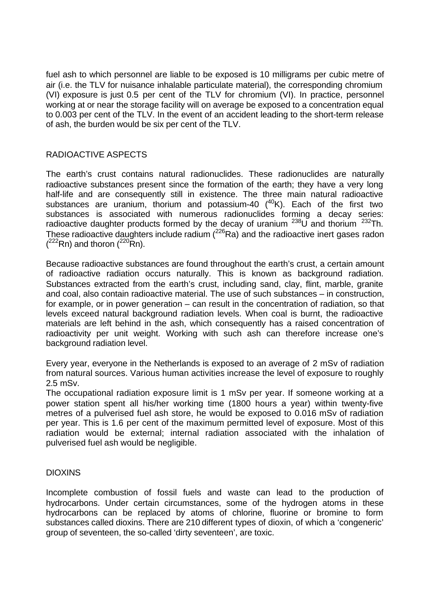fuel ash to which personnel are liable to be exposed is 10 milligrams per cubic metre of air (i.e. the TLV for nuisance inhalable particulate material), the corresponding chromium (VI) exposure is just 0.5 per cent of the TLV for chromium (VI). In practice, personnel working at or near the storage facility will on average be exposed to a concentration equal to 0.003 per cent of the TLV. In the event of an accident leading to the short-term release of ash, the burden would be six per cent of the TLV.

# RADIOACTIVE ASPECTS

The earth's crust contains natural radionuclides. These radionuclides are naturally radioactive substances present since the formation of the earth; they have a very long half-life and are consequently still in existence. The three main natural radioactive substances are uranium, thorium and potassium-40  $(^{40}K)$ . Each of the first two substances is associated with numerous radionuclides forming a decay series: radioactive daughter products formed by the decay of uranium  $^{238}$ U and thorium  $^{232}$ Th. These radioactive daughters include radium  $(^{226}Ra)$  and the radioactive inert gases radon  $(^{222}Rn)$  and thoron  $(^{220}Rn)$ .

Because radioactive substances are found throughout the earth's crust, a certain amount of radioactive radiation occurs naturally. This is known as background radiation. Substances extracted from the earth's crust, including sand, clay, flint, marble, granite and coal, also contain radioactive material. The use of such substances – in construction, for example, or in power generation – can result in the concentration of radiation, so that levels exceed natural background radiation levels. When coal is burnt, the radioactive materials are left behind in the ash, which consequently has a raised concentration of radioactivity per unit weight. Working with such ash can therefore increase one's background radiation level.

Every year, everyone in the Netherlands is exposed to an average of 2 mSv of radiation from natural sources. Various human activities increase the level of exposure to roughly 2.5 mSv.

The occupational radiation exposure limit is 1 mSv per year. If someone working at a power station spent all his/her working time (1800 hours a year) within twenty-five metres of a pulverised fuel ash store, he would be exposed to 0.016 mSv of radiation per year. This is 1.6 per cent of the maximum permitted level of exposure. Most of this radiation would be external; internal radiation associated with the inhalation of pulverised fuel ash would be negligible.

# **DIOXINS**

Incomplete combustion of fossil fuels and waste can lead to the production of hydrocarbons. Under certain circumstances, some of the hydrogen atoms in these hydrocarbons can be replaced by atoms of chlorine, fluorine or bromine to form substances called dioxins. There are 210 different types of dioxin, of which a 'congeneric' group of seventeen, the so-called 'dirty seventeen', are toxic.